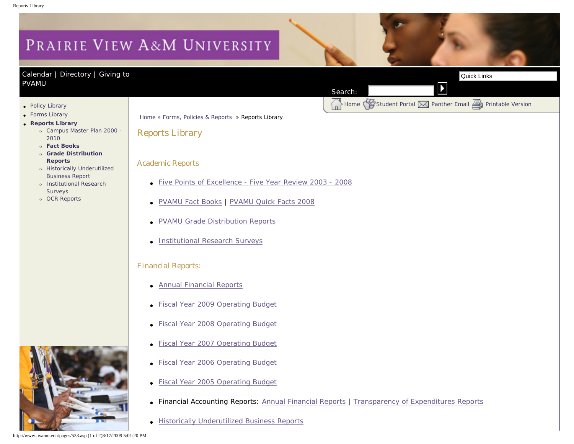# <span id="page-0-0"></span>PRAIRIE VIEW A&M UNIVERSITY

## [Calendar](http://www.pvamu.edu/pages/105.asp) | [Directory](http://www.pvamu.edu/pages/225.asp) | [Giving to](http://www.pvamu.edu/giving)  [PVAMU](http://www.pvamu.edu/giving)

Home [Student Portal](http://panthertracks.pvamu.edu/) W [Panther Email](http://www.pvamu.edu/pages/1740.asp) [Printable Version](http://www.pvamu.edu/print/533.asp)

- [Policy Library](http://www.pvamu.edu/pages/532.asp)
- [Forms Library](http://www.pvamu.edu/pages/531.asp)
- ● **[Reports Library](#page-0-0)**
	- ❍ [Campus Master Plan 2000 -](http://www.pvamu.edu/pages/5713.asp) [2010](http://www.pvamu.edu/pages/5713.asp)
	- ❍ **[Fact Books](http://www.pvamu.edu/pages/665.asp)**
	- ❍ **[Grade Distribution](http://www.pvamu.edu/pages/664.asp) [Reports](http://www.pvamu.edu/pages/664.asp)**
	- ❍ [Historically Underutilized](http://www.pvamu.edu/pages/2933.asp) [Business Report](http://www.pvamu.edu/pages/2933.asp)
	- ❍ [Institutional Research](http://www.pvamu.edu/pages/667.asp) [Surveys](http://www.pvamu.edu/pages/667.asp)
	- ❍ [OCR Reports](http://www.pvamu.edu/pages/2689.asp)



## Reports Library

### Academic Reports

- [Five Points of Excellence Five Year Review 2003 2008](http://www.pvamu.edu/fivepoints)
- [PVAMU Fact Books](http://www.pvamu.edu/pages/665.asp) | [PVAMU Quick Facts 2008](http://www.pvamu.edu/Include/IR/Quick_Facts/Prez-Flyer-08a.pdf)
- [PVAMU Grade Distribution Reports](http://www.pvamu.edu/pages/664.asp)
- [Institutional Research Surveys](http://www.pvamu.edu/pages/667.asp)

### Financial Reports:

- [Annual Financial Reports](http://www.pvamu.edu/pages/4457.asp)
- **[Fiscal Year 2009 Operating Budget](http://tamus.edu/offices/budgets-acct/budget/operating/09_TAMUS.pdf)**
- [Fiscal Year 2008 Operating Budget](http://tamus.edu/offices/budgets-acct/budget/operating/08_TAMUS.pdf)
- [Fiscal Year 2007 Operating Budget](http://www.tamus.edu/offices/budgets-acct/budget/operating/07_PVAMU.pdf)
- **[Fiscal Year 2006 Operating Budget](http://tamus.edu/offices/budgets-acct/budget/FY_2006/PVAMU_670_06.pdf)**
- [Fiscal Year 2005 Operating Budget](http://tamus.edu/offices/budgets-acct/budget/FY_2005/PVAMU_670_05.pdf)
- Financial Accounting Reports: [Annual Financial Reports](http://www.pvamu.edu/pages/4457.asp) | [Transparency of Expenditures Reports](http://www.pvamu.edu/pages/4457.asp)

Search:

● [Historically Underutilized Business Reports](http://www.pvamu.edu/pages/2933.asp)